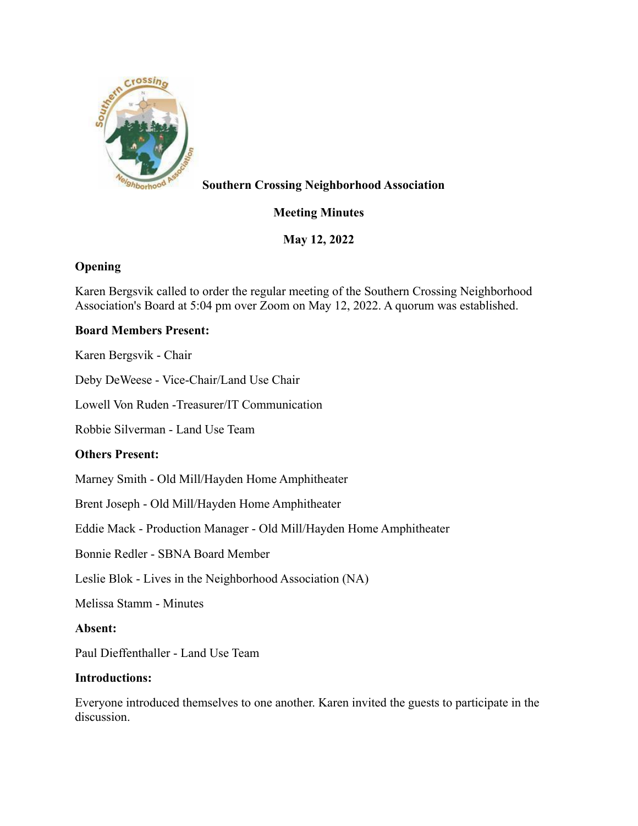

# **Southern Crossing Neighborhood Association**

# **Meeting Minutes**

**May 12, 2022**

## **Opening**

Karen Bergsvik called to order the regular meeting of the Southern Crossing Neighborhood Association's Board at 5:04 pm over Zoom on May 12, 2022. A quorum was established.

## **Board Members Present:**

Karen Bergsvik - Chair

Deby DeWeese - Vice-Chair/Land Use Chair

Lowell Von Ruden -Treasurer/IT Communication

Robbie Silverman - Land Use Team

## **Others Present:**

Marney Smith - Old Mill/Hayden Home Amphitheater

Brent Joseph - Old Mill/Hayden Home Amphitheater

Eddie Mack - Production Manager - Old Mill/Hayden Home Amphitheater

Bonnie Redler - SBNA Board Member

Leslie Blok - Lives in the Neighborhood Association (NA)

Melissa Stamm - Minutes

#### **Absent:**

Paul Dieffenthaller - Land Use Team

#### **Introductions:**

Everyone introduced themselves to one another. Karen invited the guests to participate in the discussion.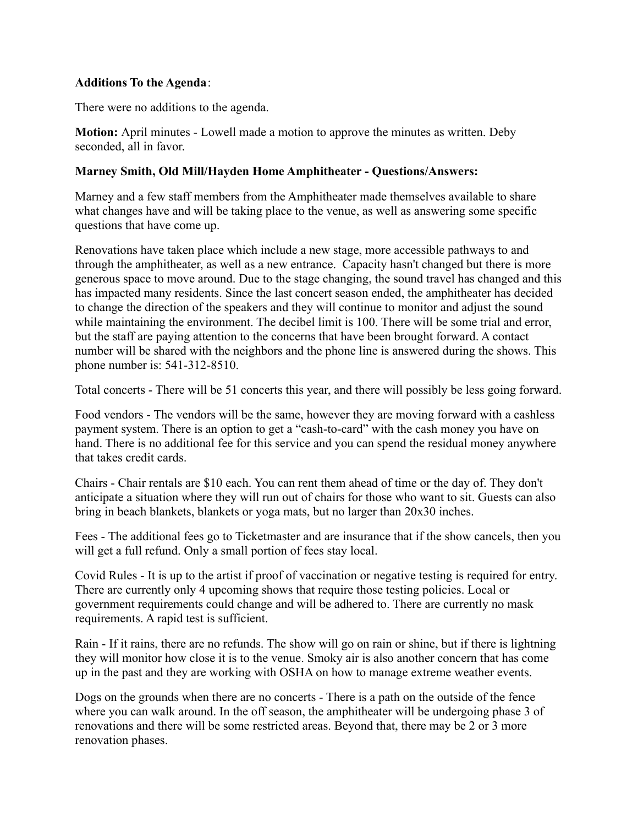#### **Additions To the Agenda**:

There were no additions to the agenda.

**Motion:** April minutes - Lowell made a motion to approve the minutes as written. Deby seconded, all in favor.

#### **Marney Smith, Old Mill/Hayden Home Amphitheater - Questions/Answers:**

Marney and a few staff members from the Amphitheater made themselves available to share what changes have and will be taking place to the venue, as well as answering some specific questions that have come up.

Renovations have taken place which include a new stage, more accessible pathways to and through the amphitheater, as well as a new entrance. Capacity hasn't changed but there is more generous space to move around. Due to the stage changing, the sound travel has changed and this has impacted many residents. Since the last concert season ended, the amphitheater has decided to change the direction of the speakers and they will continue to monitor and adjust the sound while maintaining the environment. The decibel limit is 100. There will be some trial and error, but the staff are paying attention to the concerns that have been brought forward. A contact number will be shared with the neighbors and the phone line is answered during the shows. This phone number is: 541-312-8510.

Total concerts - There will be 51 concerts this year, and there will possibly be less going forward.

Food vendors - The vendors will be the same, however they are moving forward with a cashless payment system. There is an option to get a "cash-to-card" with the cash money you have on hand. There is no additional fee for this service and you can spend the residual money anywhere that takes credit cards.

Chairs - Chair rentals are \$10 each. You can rent them ahead of time or the day of. They don't anticipate a situation where they will run out of chairs for those who want to sit. Guests can also bring in beach blankets, blankets or yoga mats, but no larger than 20x30 inches.

Fees - The additional fees go to Ticketmaster and are insurance that if the show cancels, then you will get a full refund. Only a small portion of fees stay local.

Covid Rules - It is up to the artist if proof of vaccination or negative testing is required for entry. There are currently only 4 upcoming shows that require those testing policies. Local or government requirements could change and will be adhered to. There are currently no mask requirements. A rapid test is sufficient.

Rain - If it rains, there are no refunds. The show will go on rain or shine, but if there is lightning they will monitor how close it is to the venue. Smoky air is also another concern that has come up in the past and they are working with OSHA on how to manage extreme weather events.

Dogs on the grounds when there are no concerts - There is a path on the outside of the fence where you can walk around. In the off season, the amphitheater will be undergoing phase 3 of renovations and there will be some restricted areas. Beyond that, there may be 2 or 3 more renovation phases.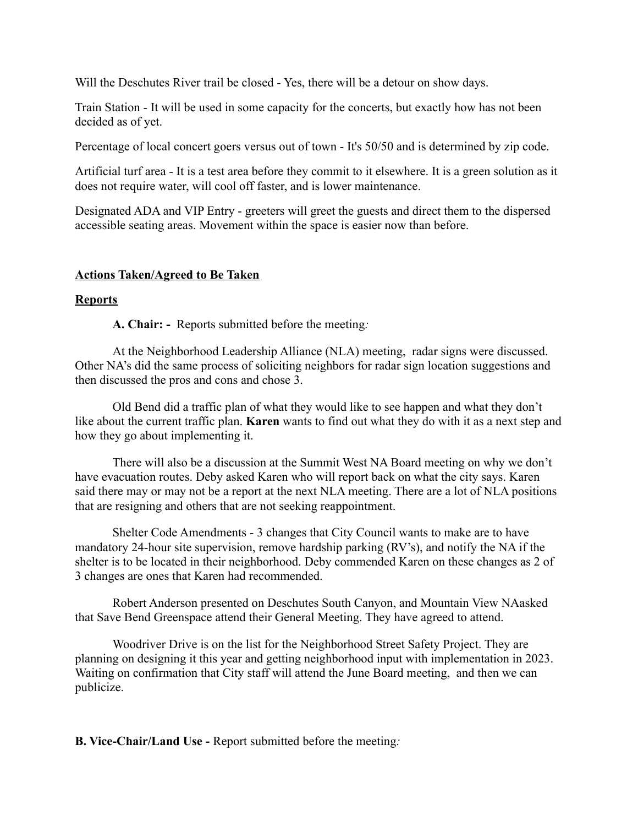Will the Deschutes River trail be closed - Yes, there will be a detour on show days.

Train Station - It will be used in some capacity for the concerts, but exactly how has not been decided as of yet.

Percentage of local concert goers versus out of town - It's 50/50 and is determined by zip code.

Artificial turf area - It is a test area before they commit to it elsewhere. It is a green solution as it does not require water, will cool off faster, and is lower maintenance.

Designated ADA and VIP Entry - greeters will greet the guests and direct them to the dispersed accessible seating areas. Movement within the space is easier now than before.

#### **Actions Taken/Agreed to Be Taken**

#### **Reports**

**A. Chair: -** Reports submitted before the meeting*:*

At the Neighborhood Leadership Alliance (NLA) meeting, radar signs were discussed. Other NA's did the same process of soliciting neighbors for radar sign location suggestions and then discussed the pros and cons and chose 3.

Old Bend did a traffic plan of what they would like to see happen and what they don't like about the current traffic plan. **Karen** wants to find out what they do with it as a next step and how they go about implementing it.

There will also be a discussion at the Summit West NA Board meeting on why we don't have evacuation routes. Deby asked Karen who will report back on what the city says. Karen said there may or may not be a report at the next NLA meeting. There are a lot of NLA positions that are resigning and others that are not seeking reappointment.

Shelter Code Amendments - 3 changes that City Council wants to make are to have mandatory 24-hour site supervision, remove hardship parking (RV's), and notify the NA if the shelter is to be located in their neighborhood. Deby commended Karen on these changes as 2 of 3 changes are ones that Karen had recommended.

Robert Anderson presented on Deschutes South Canyon, and Mountain View NAasked that Save Bend Greenspace attend their General Meeting. They have agreed to attend.

Woodriver Drive is on the list for the Neighborhood Street Safety Project. They are planning on designing it this year and getting neighborhood input with implementation in 2023. Waiting on confirmation that City staff will attend the June Board meeting, and then we can publicize.

**B. Vice-Chair/Land Use -** Report submitted before the meeting*:*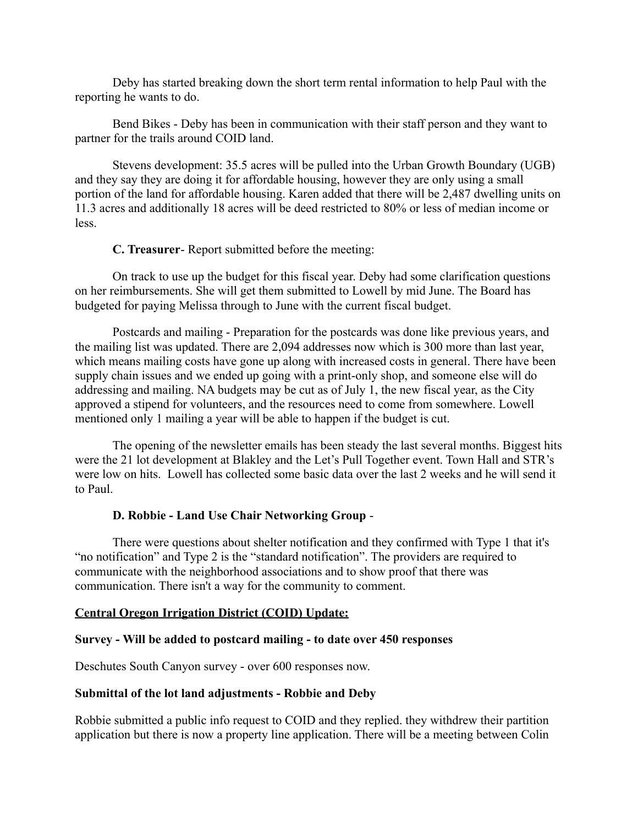Deby has started breaking down the short term rental information to help Paul with the reporting he wants to do.

Bend Bikes - Deby has been in communication with their staff person and they want to partner for the trails around COID land.

Stevens development: 35.5 acres will be pulled into the Urban Growth Boundary (UGB) and they say they are doing it for affordable housing, however they are only using a small portion of the land for affordable housing. Karen added that there will be 2,487 dwelling units on 11.3 acres and additionally 18 acres will be deed restricted to 80% or less of median income or less.

**C. Treasurer**- Report submitted before the meeting:

On track to use up the budget for this fiscal year. Deby had some clarification questions on her reimbursements. She will get them submitted to Lowell by mid June. The Board has budgeted for paying Melissa through to June with the current fiscal budget.

Postcards and mailing - Preparation for the postcards was done like previous years, and the mailing list was updated. There are 2,094 addresses now which is 300 more than last year, which means mailing costs have gone up along with increased costs in general. There have been supply chain issues and we ended up going with a print-only shop, and someone else will do addressing and mailing. NA budgets may be cut as of July 1, the new fiscal year, as the City approved a stipend for volunteers, and the resources need to come from somewhere. Lowell mentioned only 1 mailing a year will be able to happen if the budget is cut.

The opening of the newsletter emails has been steady the last several months. Biggest hits were the 21 lot development at Blakley and the Let's Pull Together event. Town Hall and STR's were low on hits. Lowell has collected some basic data over the last 2 weeks and he will send it to Paul.

## **D. Robbie - Land Use Chair Networking Group** -

There were questions about shelter notification and they confirmed with Type 1 that it's "no notification" and Type 2 is the "standard notification". The providers are required to communicate with the neighborhood associations and to show proof that there was communication. There isn't a way for the community to comment.

#### **Central Oregon Irrigation District (COID) Update:**

#### **Survey - Will be added to postcard mailing - to date over 450 responses**

Deschutes South Canyon survey - over 600 responses now.

#### **Submittal of the lot land adjustments - Robbie and Deby**

Robbie submitted a public info request to COID and they replied. they withdrew their partition application but there is now a property line application. There will be a meeting between Colin